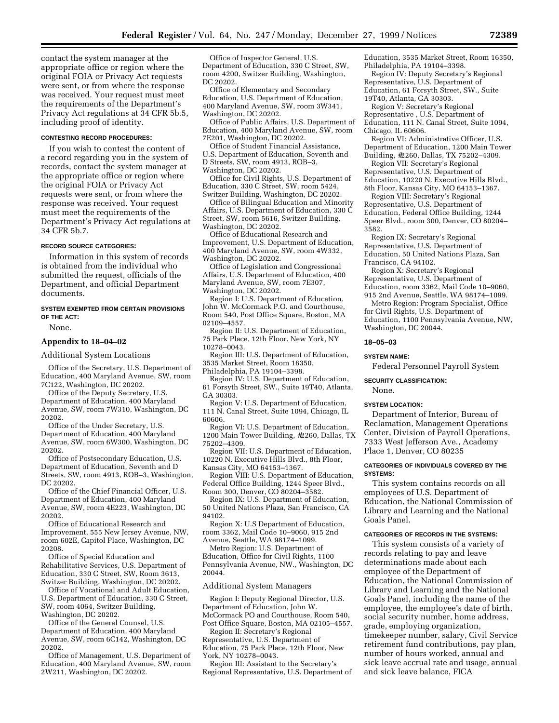contact the system manager at the appropriate office or region where the original FOIA or Privacy Act requests were sent, or from where the response was received. Your request must meet the requirements of the Department's Privacy Act regulations at 34 CFR 5b.5, including proof of identity.

# **CONTESTING RECORD PROCEDURES:**

If you wish to contest the content of a record regarding you in the system of records, contact the system manager at the appropriate office or region where the original FOIA or Privacy Act requests were sent, or from where the response was received. Your request must meet the requirements of the Department's Privacy Act regulations at 34 CFR 5b.7.

### **RECORD SOURCE CATEGORIES:**

Information in this system of records is obtained from the individual who submitted the request, officials of the Department, and official Department documents.

### **SYSTEM EXEMPTED FROM CERTAIN PROVISIONS OF THE ACT:**

None.

## **Appendix to 18–04–02**

Additional System Locations

Office of the Secretary, U.S. Department of Education, 400 Maryland Avenue, SW, room 7C122, Washington, DC 20202.

Office of the Deputy Secretary, U.S. Department of Education, 400 Maryland Avenue, SW, room 7W310, Washington, DC 20202.

Office of the Under Secretary, U.S. Department of Education, 400 Maryland Avenue, SW, room 6W300, Washington, DC 20202.

Office of Postsecondary Education, U.S. Department of Education, Seventh and D Streets, SW, room 4913, ROB–3, Washington, DC 20202.

Office of the Chief Financial Officer, U.S. Department of Education, 400 Maryland Avenue, SW, room 4E223, Washington, DC 20202.

Office of Educational Research and Improvement, 555 New Jersey Avenue, NW, room 602E, Capitol Place, Washington, DC 20208.

Office of Special Education and Rehabilitative Services, U.S. Department of Education, 330 C Street, SW, Room 3613, Switzer Building, Washington, DC 20202.

Office of Vocational and Adult Education, U.S. Department of Education, 330 C Street, SW, room 4064, Switzer Building, Washington, DC 20202.

Office of the General Counsel, U.S. Department of Education, 400 Maryland Avenue, SW, room 6C142, Washington, DC 20202.

Office of Management, U.S. Department of Education, 400 Maryland Avenue, SW, room 2W211, Washington, DC 20202.

Office of Inspector General, U.S. Department of Education, 330 C Street, SW, room 4200, Switzer Building, Washington, DC 20202.

Office of Elementary and Secondary Education, U.S. Department of Education, 400 Maryland Avenue, SW, room 3W341, Washington, DC 20202.

Office of Public Affairs, U.S. Department of Education, 400 Maryland Avenue, SW, room 7E201, Washington, DC 20202.

Office of Student Financial Assistance, U.S. Department of Education, Seventh and D Streets, SW, room 4913, ROB–3, Washington, DC 20202.

Office for Civil Rights, U.S. Department of Education, 330 C Street, SW, room 5424, Switzer Building, Washington, DC 20202.

Office of Bilingual Education and Minority Affairs, U.S. Department of Education, 330 C Street, SW, room 5616, Switzer Building, Washington, DC 20202.

Office of Educational Research and Improvement, U.S. Department of Education, 400 Maryland Avenue, SW, room 4W332, Washington, DC 20202.

Office of Legislation and Congressional Affairs, U.S. Department of Education, 400 Maryland Avenue, SW, room 7E307, Washington, DC 20202.

Region I: U.S. Department of Education, John W. McCormack P.O. and Courthouse, Room 540, Post Office Square, Boston, MA 02109–4557.

Region II: U.S. Department of Education, 75 Park Place, 12th Floor, New York, NY 10278–0043.

Region III: U.S. Department of Education, 3535 Market Street, Room 16350,

Philadelphia, PA 19104–3398.

Region IV: U.S. Department of Education, 61 Forsyth Street, SW., Suite 19T40, Atlanta, GA 30303.

Region V: U.S. Department of Education, 111 N. Canal Street, Suite 1094, Chicago, IL 60606.

Region VI: U.S. Department of Education, 1200 Main Tower Building, #2260, Dallas, TX 75202–4309.

Region VII: U.S. Department of Education, 10220 N. Executive Hills Blvd., 8th Floor, Kansas City, MO 64153–1367.

Region VIII: U.S. Department of Education, Federal Office Building, 1244 Speer Blvd., Room 300, Denver, CO 80204–3582.

Region IX: U.S. Department of Education, 50 United Nations Plaza, San Francisco, CA 94102.

Region X: U.S Department of Education, room 3362, Mail Code 10–9060, 915 2nd Avenue, Seattle, WA 98174–1099.

Metro Region: U.S. Department of Education, Office for Civil Rights, 1100 Pennsylvania Avenue, NW., Washington, DC 20044.

### Additional System Managers

Region I: Deputy Regional Director, U.S. Department of Education, John W. McCormack PO and Courthouse, Room 540, Post Office Square, Boston, MA 02105–4557.

Region II: Secretary's Regional Representative, U.S. Department of Education, 75 Park Place, 12th Floor, New York, NY 10278–0043.

Region III: Assistant to the Secretary's Regional Representative, U.S. Department of

Education, 3535 Market Street, Room 16350, Philadelphia, PA 19104–3398.

Region IV: Deputy Secretary's Regional Representative, U.S. Department of Education, 61 Forsyth Street, SW., Suite 19T40, Atlanta, GA 30303.

Region V: Secretary's Regional Representative , U.S. Department of Education, 111 N. Canal Street, Suite 1094, Chicago, IL 60606.

Region VI: Administrative Officer, U.S. Department of Education, 1200 Main Tower Building, #2260, Dallas, TX 75202–4309.

Region VII: Secretary's Regional Representative, U.S. Department of Education, 10220 N. Executive Hills Blvd., 8th Floor, Kansas City, MO 64153–1367.

Region VIII: Secretary's Regional Representative, U.S. Department of Education, Federal Office Building, 1244 Speer Blvd., room 300, Denver, CO 80204– 3582.

Region IX: Secretary's Regional Representative, U.S. Department of Education, 50 United Nations Plaza, San Francisco, CA 94102.

Region X: Secretary's Regional Representative, U.S. Department of Education, room 3362, Mail Code 10–9060, 915 2nd Avenue, Seattle, WA 98174–1099.

Metro Region: Program Specialist, Office for Civil Rights, U.S. Department of Education, 1100 Pennsylvania Avenue, NW, Washington, DC 20044.

#### **18–05–03**

#### **SYSTEM NAME:**

Federal Personnel Payroll System

# **SECURITY CLASSIFICATION:**

None.

# **SYSTEM LOCATION:**

Department of Interior, Bureau of Reclamation, Management Operations Center, Division of Payroll Operations, 7333 West Jefferson Ave., Academy Place 1, Denver, CO 80235

## **CATEGORIES OF INDIVIDUALS COVERED BY THE SYSTEMS:**

This system contains records on all employees of U.S. Department of Education, the National Commission of Library and Learning and the National Goals Panel.

#### **CATEGORIES OF RECORDS IN THE SYSTEMS:**

This system consists of a variety of records relating to pay and leave determinations made about each employee of the Department of Education, the National Commission of Library and Learning and the National Goals Panel, including the name of the employee, the employee's date of birth, social security number, home address, grade, employing organization, timekeeper number, salary, Civil Service retirement fund contributions, pay plan, number of hours worked, annual and sick leave accrual rate and usage, annual and sick leave balance, FICA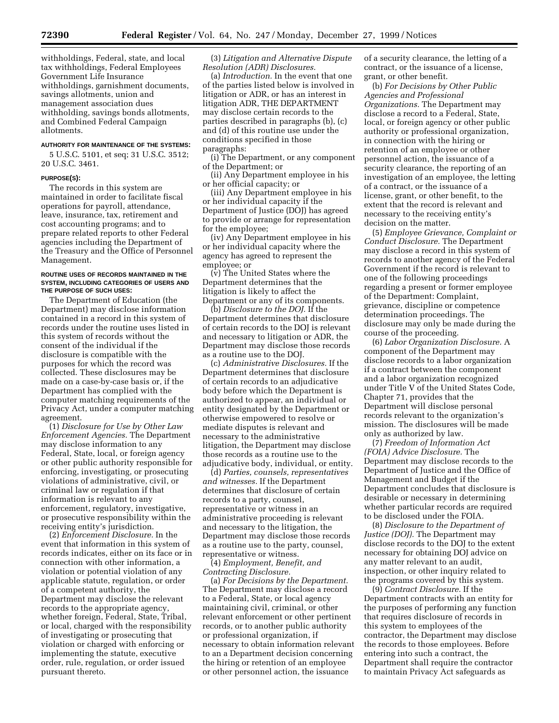withholdings, Federal, state, and local tax withholdings, Federal Employees Government Life Insurance withholdings, garnishment documents, savings allotments, union and management association dues withholding, savings bonds allotments, and Combined Federal Campaign allotments.

# **AUTHORITY FOR MAINTENANCE OF THE SYSTEMS:**

5 U.S.C. 5101, et seq; 31 U.S.C. 3512; 20 U.S.C. 3461.

#### **PURPOSE(S):**

The records in this system are maintained in order to facilitate fiscal operations for payroll, attendance, leave, insurance, tax, retirement and cost accounting programs; and to prepare related reports to other Federal agencies including the Department of the Treasury and the Office of Personnel Management.

### **ROUTINE USES OF RECORDS MAINTAINED IN THE SYSTEM, INCLUDING CATEGORIES OF USERS AND THE PURPOSE OF SUCH USES:**

The Department of Education (the Department) may disclose information contained in a record in this system of records under the routine uses listed in this system of records without the consent of the individual if the disclosure is compatible with the purposes for which the record was collected. These disclosures may be made on a case-by-case basis or, if the Department has complied with the computer matching requirements of the Privacy Act, under a computer matching agreement.

(1) *Disclosure for Use by Other Law Enforcement Agencies.* The Department may disclose information to any Federal, State, local, or foreign agency or other public authority responsible for enforcing, investigating, or prosecuting violations of administrative, civil, or criminal law or regulation if that information is relevant to any enforcement, regulatory, investigative, or prosecutive responsibility within the receiving entity's jurisdiction.

(2) *Enforcement Disclosure.* In the event that information in this system of records indicates, either on its face or in connection with other information, a violation or potential violation of any applicable statute, regulation, or order of a competent authority, the Department may disclose the relevant records to the appropriate agency, whether foreign, Federal, State, Tribal, or local, charged with the responsibility of investigating or prosecuting that violation or charged with enforcing or implementing the statute, executive order, rule, regulation, or order issued pursuant thereto.

(3) *Litigation and Alternative Dispute Resolution (ADR) Disclosures.* 

(a) *Introduction.* In the event that one of the parties listed below is involved in litigation or ADR, or has an interest in litigation ADR, THE DEPARTMENT may disclose certain records to the parties described in paragraphs (b), (c) and (d) of this routine use under the conditions specified in those paragraphs:

(i) The Department, or any component of the Department; or

(ii) Any Department employee in his or her official capacity; or

(iii) Any Department employee in his or her individual capacity if the Department of Justice (DOJ) has agreed to provide or arrange for representation for the employee;

(iv) Any Department employee in his or her individual capacity where the agency has agreed to represent the employee; or

(v) The United States where the Department determines that the litigation is likely to affect the Department or any of its components.

(b) *Disclosure to the DOJ.* If the Department determines that disclosure of certain records to the DOJ is relevant and necessary to litigation or ADR, the Department may disclose those records as a routine use to the DOJ.

(c) *Administrative Disclosures.* If the Department determines that disclosure of certain records to an adjudicative body before which the Department is authorized to appear, an individual or entity designated by the Department or otherwise empowered to resolve or mediate disputes is relevant and necessary to the administrative litigation, the Department may disclose those records as a routine use to the adjudicative body, individual, or entity.

(d) *Parties, counsels, representatives and witnesses.* If the Department determines that disclosure of certain records to a party, counsel, representative or witness in an administrative proceeding is relevant and necessary to the litigation, the Department may disclose those records as a routine use to the party, counsel, representative or witness.

(4) *Employment, Benefit, and Contracting Disclosure.* 

(a) *For Decisions by the Department.*  The Department may disclose a record to a Federal, State, or local agency maintaining civil, criminal, or other relevant enforcement or other pertinent records, or to another public authority or professional organization, if necessary to obtain information relevant to an a Department decision concerning the hiring or retention of an employee or other personnel action, the issuance

of a security clearance, the letting of a contract, or the issuance of a license, grant, or other benefit.

(b) *For Decisions by Other Public Agencies and Professional Organizations.* The Department may disclose a record to a Federal, State, local, or foreign agency or other public authority or professional organization, in connection with the hiring or retention of an employee or other personnel action, the issuance of a security clearance, the reporting of an investigation of an employee, the letting of a contract, or the issuance of a license, grant, or other benefit, to the extent that the record is relevant and necessary to the receiving entity's decision on the matter.

(5) *Employee Grievance, Complaint or Conduct Disclosure.* The Department may disclose a record in this system of records to another agency of the Federal Government if the record is relevant to one of the following proceedings regarding a present or former employee of the Department: Complaint, grievance, discipline or competence determination proceedings. The disclosure may only be made during the course of the proceeding.

(6) *Labor Organization Disclosure.* A component of the Department may disclose records to a labor organization if a contract between the component and a labor organization recognized under Title V of the United States Code, Chapter 71, provides that the Department will disclose personal records relevant to the organization's mission. The disclosures will be made only as authorized by law.

(7) *Freedom of Information Act (FOIA) Advice Disclosure.* The Department may disclose records to the Department of Justice and the Office of Management and Budget if the Department concludes that disclosure is desirable or necessary in determining whether particular records are required to be disclosed under the FOIA.

(8) *Disclosure to the Department of Justice (DOJ).* The Department may disclose records to the DOJ to the extent necessary for obtaining DOJ advice on any matter relevant to an audit, inspection, or other inquiry related to the programs covered by this system.

(9) *Contract Disclosure.* If the Department contracts with an entity for the purposes of performing any function that requires disclosure of records in this system to employees of the contractor, the Department may disclose the records to those employees. Before entering into such a contract, the Department shall require the contractor to maintain Privacy Act safeguards as